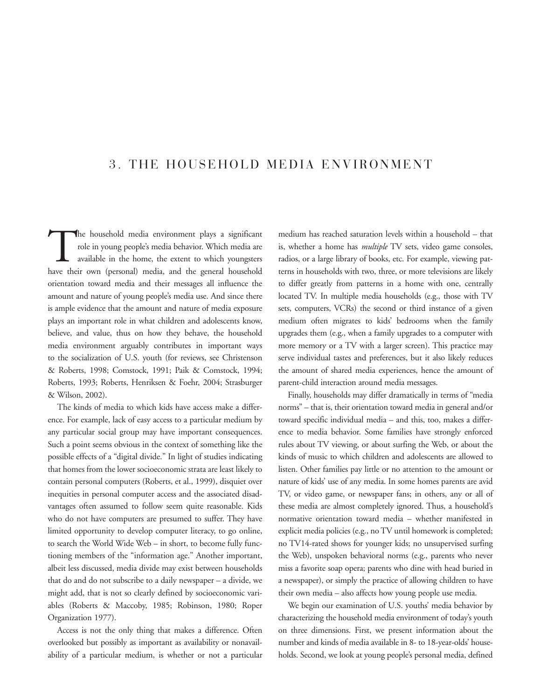# 3. THE HOUSEHOLD MEDIA ENVIRONMENT

The household media environment plays a significant<br>role in young people's media behavior. Which media are<br>available in the home, the extent to which youngsters<br>have their own (personal) media and the general household role in young people's media behavior. Which media are available in the home, the extent to which youngsters have their own (personal) media, and the general household orientation toward media and their messages all influence the amount and nature of young people's media use. And since there is ample evidence that the amount and nature of media exposure plays an important role in what children and adolescents know, believe, and value, thus on how they behave, the household media environment arguably contributes in important ways to the socialization of U.S. youth (for reviews, see Christenson & Roberts, 1998; Comstock, 1991; Paik & Comstock, 1994; Roberts, 1993; Roberts, Henriksen & Foehr, 2004; Strasburger & Wilson, 2002).

The kinds of media to which kids have access make a difference. For example, lack of easy access to a particular medium by any particular social group may have important consequences. Such a point seems obvious in the context of something like the possible effects of a "digital divide." In light of studies indicating that homes from the lower socioeconomic strata are least likely to contain personal computers (Roberts, et al., 1999), disquiet over inequities in personal computer access and the associated disadvantages often assumed to follow seem quite reasonable. Kids who do not have computers are presumed to suffer. They have limited opportunity to develop computer literacy, to go online, to search the World Wide Web – in short, to become fully functioning members of the "information age." Another important, albeit less discussed, media divide may exist between households that do and do not subscribe to a daily newspaper – a divide, we might add, that is not so clearly defined by socioeconomic variables (Roberts & Maccoby, 1985; Robinson, 1980; Roper Organization 1977).

Access is not the only thing that makes a difference. Often overlooked but possibly as important as availability or nonavailability of a particular medium, is whether or not a particular

medium has reached saturation levels within a household – that is, whether a home has *multiple* TV sets, video game consoles, radios, or a large library of books, etc. For example, viewing patterns in households with two, three, or more televisions are likely to differ greatly from patterns in a home with one, centrally located TV. In multiple media households (e.g., those with TV sets, computers, VCRs) the second or third instance of a given medium often migrates to kids' bedrooms when the family upgrades them (e.g., when a family upgrades to a computer with more memory or a TV with a larger screen). This practice may serve individual tastes and preferences, but it also likely reduces the amount of shared media experiences, hence the amount of parent-child interaction around media messages.

Finally, households may differ dramatically in terms of "media norms" – that is, their orientation toward media in general and/or toward specific individual media – and this, too, makes a difference to media behavior. Some families have strongly enforced rules about TV viewing, or about surfing the Web, or about the kinds of music to which children and adolescents are allowed to listen. Other families pay little or no attention to the amount or nature of kids' use of any media. In some homes parents are avid TV, or video game, or newspaper fans; in others, any or all of these media are almost completely ignored. Thus, a household's normative orientation toward media – whether manifested in explicit media policies (e.g., no TV until homework is completed; no TV14-rated shows for younger kids; no unsupervised surfing the Web), unspoken behavioral norms (e.g., parents who never miss a favorite soap opera; parents who dine with head buried in a newspaper), or simply the practice of allowing children to have their own media – also affects how young people use media.

We begin our examination of U.S. youths' media behavior by characterizing the household media environment of today's youth on three dimensions. First, we present information about the number and kinds of media available in 8- to 18-year-olds' households. Second, we look at young people's personal media, defined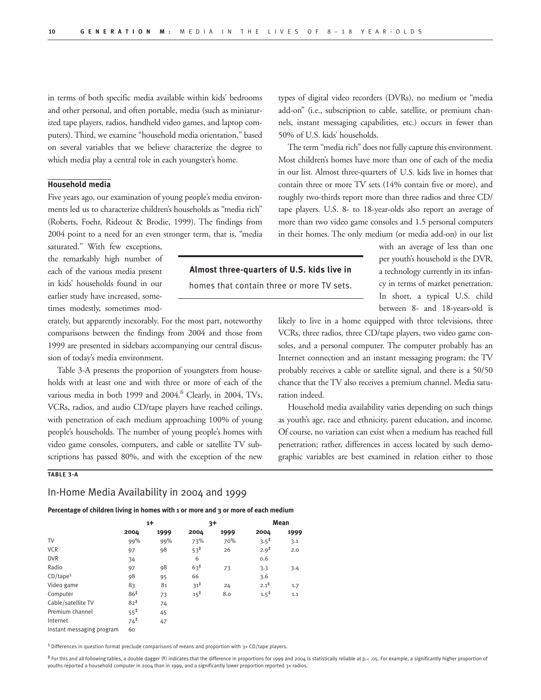**Almost three-quarters of U.S. kids live in**  homes that contain three or more TV sets.

in terms of both specific media available within kids' bedrooms and other personal, and often portable, media (such as miniaturized tape players, radios, handheld video games, and laptop computers). Third, we examine "household media orientation," based on several variables that we believe characterize the degree to which media play a central role in each youngster's home.

### **Household media**

Five years ago, our examination of young people's media environments led us to characterize children's households as "media rich" (Roberts, Foehr, Rideout & Brodie, 1999). The findings from 2004 point to a need for an even stronger term, that is, "media

saturated." With few exceptions, the remarkably high number of each of the various media present in kids' households found in our earlier study have increased, sometimes modestly, sometimes mod-

erately, but apparently inexorably. For the most part, noteworthy comparisons between the findings from 2004 and those from 1999 are presented in sidebars accompanying our central discussion of today's media environment.

Table 3-A presents the proportion of youngsters from households with at least one and with three or more of each of the various media in both 1999 and 2004.<sup>6</sup> Clearly, in 2004, TVs, VCRs, radios, and audio CD/tape players have reached ceilings, with penetration of each medium approaching 100% of young people's households. The number of young people's homes with video game consoles, computers, and cable or satellite TV subscriptions has passed 80%, and with the exception of the new

### **TABLE 3-A**

## In-Home Media Availability in 2004 and 1999

**Percentage of children living in homes with 1 or more and 3 or more of each medium** 

|                           | $1+$            |      | $3+$            |      | Mean             |      |
|---------------------------|-----------------|------|-----------------|------|------------------|------|
|                           | 2004            | 1999 | 2004            | 1999 | 2004             | 1999 |
| TV                        | 99%             | 99%  | 73%             | 70%  | $3.5^{\ddagger}$ | 3.1  |
| <b>VCR</b>                | 97              | 98   | $53^{\ddagger}$ | 26   | $2.9^{\ddagger}$ | 2.0  |
| <b>DVR</b>                | 34              |      | 6               |      | 0.6              |      |
| Radio                     | 97              | 98   | $63^{\ddagger}$ | 73   | 3.3              | 3.4  |
| $CD$ /tape <sup>1</sup>   | 98              | 95   | 66              |      | 3.6              |      |
| Video game                | 83              | 81   | $31^{\ddagger}$ | 24   | $2.1^{\ddagger}$ | 1.7  |
| Computer                  | 86 <sup>‡</sup> | 73   | $15^{\ddagger}$ | 8.0  | $1.5^{\ddagger}$ | 1.1  |
| Cable/satellite TV        | $82^{\ddagger}$ | 74   |                 |      |                  |      |
| Premium channel           | $55^{\ddagger}$ | 45   |                 |      |                  |      |
| Internet                  | $74^{\ddagger}$ | 47   |                 |      |                  |      |
| Instant messaging program | 60              |      |                 |      |                  |      |

1 Differences in question format preclude comparisons of means and proportion with 3+ CD/tape players.

‡ For this and all following tables, a double dagger (‡) indicates that the difference in proportions for 1999 and 2004 is statistically reliable at p.< .05. For example, a significantly higher proportion of youths reported a household computer in 2004 than in 1999, and a significantly lower proportion reported 3+ radios.

types of digital video recorders (DVRs), no medium or "media add-on" (i.e., subscription to cable, satellite, or premium channels, instant messaging capabilities, etc.) occurs in fewer than 50% of U.S. kids' households.

The term "media rich" does not fully capture this environment. Most children's homes have more than one of each of the media in our list. Almost three-quarters of U.S. kids live in homes that contain three or more TV sets (14% contain five or more), and roughly two-thirds report more than three radios and three CD/ tape players. U.S. 8- to 18-year-olds also report an average of more than two video game consoles and 1.5 personal computers in their homes. The only medium (or media add-on) in our list

> with an average of less than one per youth's household is the DVR, a technology currently in its infancy in terms of market penetration. In short, a typical U.S. child between 8- and 18-years-old is

likely to live in a home equipped with three televisions, three VCRs, three radios, three CD/tape players, two video game consoles, and a personal computer. The computer probably has an Internet connection and an instant messaging program; the TV probably receives a cable or satellite signal, and there is a 50/50 chance that the TV also receives a premium channel. Media saturation indeed.

Household media availability varies depending on such things as youth's age, race and ethnicity, parent education, and income. Of course, no variation can exist when a medium has reached full penetration; rather, differences in access located by such demographic variables are best examined in relation either to those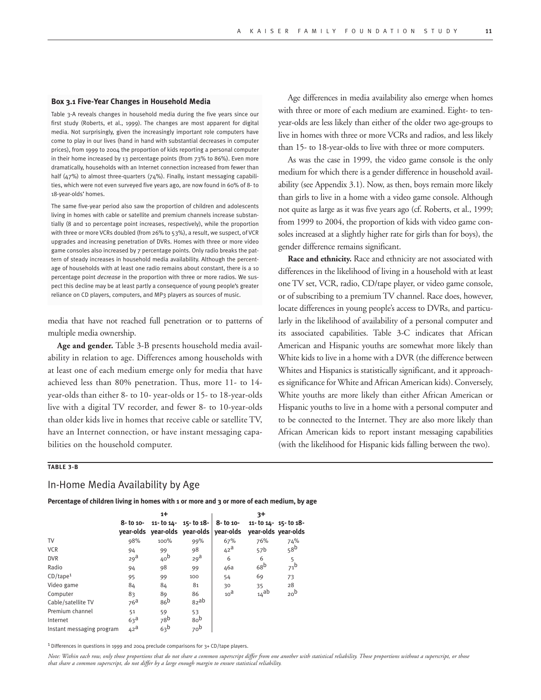#### **Box 3.1 Five-Year Changes in Household Media**

Table 3-A reveals changes in household media during the five years since our first study (Roberts, et al., 1999). The changes are most apparent for digital media. Not surprisingly, given the increasingly important role computers have come to play in our lives (hand in hand with substantial decreases in computer prices), from 1999 to 2004 the proportion of kids reporting a personal computer in their home increased by 13 percentage points (from 73% to 86%). Even more dramatically, households with an Internet connection increased from fewer than half (47%) to almost three-quarters (74%). Finally, instant messaging capabilities, which were not even surveyed five years ago, are now found in 60% of 8- to 18-year-olds' homes.

The same five-year period also saw the proportion of children and adolescents living in homes with cable or satellite and premium channels increase substantially (8 and 10 percentage point increases, respectively), while the proportion with three or more VCRs doubled (from 26% to 53%), a result, we suspect, of VCR upgrades and increasing penetration of DVRs. Homes with three or more video game consoles also increased by 7 percentage points. Only radio breaks the pattern of steady increases in household media availability. Although the percentage of households with at least one radio remains about constant, there is a 10 percentage point *decrease* in the proportion with three or more radios. We suspect this decline may be at least partly a consequence of young people's greater reliance on CD players, computers, and MP3 players as sources of music.

media that have not reached full penetration or to patterns of multiple media ownership.

**Age and gender.** Table 3-B presents household media availability in relation to age. Differences among households with at least one of each medium emerge only for media that have achieved less than 80% penetration. Thus, more 11- to 14 year-olds than either 8- to 10- year-olds or 15- to 18-year-olds live with a digital TV recorder, and fewer 8- to 10-year-olds than older kids live in homes that receive cable or satellite TV, have an Internet connection, or have instant messaging capabilities on the household computer.

Age differences in media availability also emerge when homes with three or more of each medium are examined. Eight- to tenyear-olds are less likely than either of the older two age-groups to live in homes with three or more VCRs and radios, and less likely than 15- to 18-year-olds to live with three or more computers.

As was the case in 1999, the video game console is the only medium for which there is a gender difference in household availability (see Appendix 3.1). Now, as then, boys remain more likely than girls to live in a home with a video game console. Although not quite as large as it was five years ago (cf. Roberts, et al., 1999; from 1999 to 2004, the proportion of kids with video game consoles increased at a slightly higher rate for girls than for boys), the gender difference remains significant.

**Race and ethnicity.** Race and ethnicity are not associated with differences in the likelihood of living in a household with at least one TV set, VCR, radio, CD/tape player, or video game console, or of subscribing to a premium TV channel. Race does, however, locate differences in young people's access to DVRs, and particularly in the likelihood of availability of a personal computer and its associated capabilities. Table 3-C indicates that African American and Hispanic youths are somewhat more likely than White kids to live in a home with a DVR (the difference between Whites and Hispanics is statistically significant, and it approaches significance for White and African American kids). Conversely, White youths are more likely than either African American or Hispanic youths to live in a home with a personal computer and to be connected to the Internet. They are also more likely than African American kids to report instant messaging capabilities (with the likelihood for Hispanic kids falling between the two).

### **TABLE 3-B**

### In-Home Media Availability by Age

**Percentage of children living in homes with 1 or more and 3 or more of each medium, by age**

|                           | $1+$                   |                 |                                              | $3+$            |                 |                                              |  |
|---------------------------|------------------------|-----------------|----------------------------------------------|-----------------|-----------------|----------------------------------------------|--|
|                           | 8- to 10-<br>vear-olds | 11- to 14-      | $15 - 1018$<br>year-olds year-olds vear-olds | $8 - 101 - 8$   |                 | 11- to 14- 15- to 18-<br>year-olds year-olds |  |
| TV                        | 98%                    | 100%            | 99%                                          | 67%             | 76%             | 74%                                          |  |
| <b>VCR</b>                | 94                     | 99              | 98                                           | $42^{\text{a}}$ | 57 <sub>b</sub> | 58 <sup>b</sup>                              |  |
| <b>DVR</b>                | 29 <sup>d</sup>        | 40 <sup>b</sup> | 29 <sup>d</sup>                              | 6               | 6               | 5                                            |  |
| Radio                     | 94                     | 98              | 99                                           | 46a             | 68 <sup>b</sup> | 71 <sup>b</sup>                              |  |
| CD/tape <sup>1</sup>      | 95                     | 99              | 100                                          | 54              | 69              | 73                                           |  |
| Video game                | 84                     | 84              | 81                                           | 30              | 35              | 28                                           |  |
| Computer                  | 83                     | 89              | 86                                           | 10 <sup>d</sup> | $14$ ab         | 20 <sup>b</sup>                              |  |
| Cable/satellite TV        | 76 <sup>a</sup>        | 86 <sup>b</sup> | 82ab                                         |                 |                 |                                              |  |
| Premium channel           | 51                     | 59              | 53                                           |                 |                 |                                              |  |
| Internet                  | 63a                    | 78 <sup>b</sup> | 80 <sup>b</sup>                              |                 |                 |                                              |  |
| Instant messaging program | 42 <sup>a</sup>        | 63 <sup>b</sup> | 70 <sup>b</sup>                              |                 |                 |                                              |  |

1 Differences in questions in 1999 and 2004 preclude comparisons for 3+ CD/tape players.

*Note: Within each row, only those proportions that do not share a common superscript differ from one another with statistical reliability. Those proportions without a superscript, or those that share a common superscript, do not differ by a large enough margin to ensure statistical reliability.*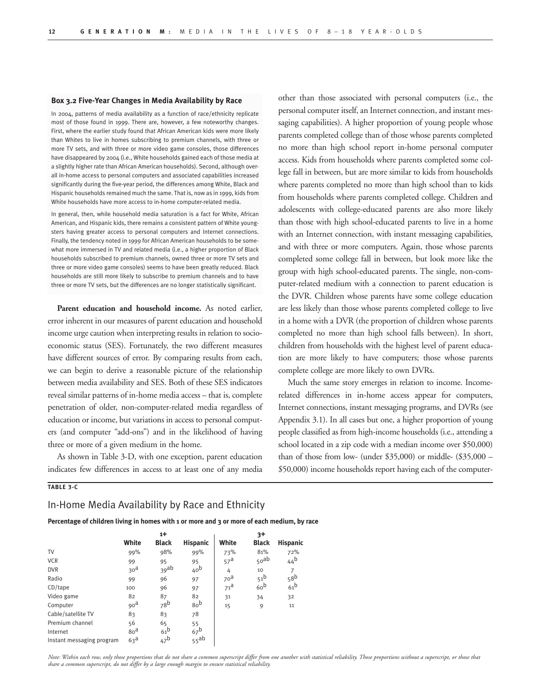#### **Box 3.2 Five-Year Changes in Media Availability by Race**

In 2004, patterns of media availability as a function of race/ethnicity replicate most of those found in 1999. There are, however, a few noteworthy changes. First, where the earlier study found that African American kids were more likely than Whites to live in homes subscribing to premium channels, with three or more TV sets, and with three or more video game consoles, those differences have disappeared by 2004 (i.e., White households gained each of those media at a slightly higher rate than African American households). Second, although overall in-home access to personal computers and associated capabilities increased significantly during the five-year period, the differences among White, Black and Hispanic households remained much the same. That is, now as in 1999, kids from White households have more access to in-home computer-related media.

In general, then, while household media saturation is a fact for White, African American, and Hispanic kids, there remains a consistent pattern of White youngsters having greater access to personal computers and Internet connections. Finally, the tendency noted in 1999 for African American households to be somewhat more immersed in TV and related media (i.e., a higher proportion of Black households subscribed to premium channels, owned three or more TV sets and three or more video game consoles) seems to have been greatly reduced. Black households are still more likely to subscribe to premium channels and to have three or more TV sets, but the differences are no longer statistically significant.

**Parent education and household income.** As noted earlier, error inherent in our measures of parent education and household income urge caution when interpreting results in relation to socioeconomic status (SES). Fortunately, the two different measures have different sources of error. By comparing results from each, we can begin to derive a reasonable picture of the relationship between media availability and SES. Both of these SES indicators reveal similar patterns of in-home media access – that is, complete penetration of older, non-computer-related media regardless of education or income, but variations in access to personal computers (and computer "add-ons") and in the likelihood of having three or more of a given medium in the home.

As shown in Table 3-D, with one exception, parent education indicates few differences in access to at least one of any media other than those associated with personal computers (i.e., the personal computer itself, an Internet connection, and instant messaging capabilities). A higher proportion of young people whose parents completed college than of those whose parents completed no more than high school report in-home personal computer access. Kids from households where parents completed some college fall in between, but are more similar to kids from households where parents completed no more than high school than to kids from households where parents completed college. Children and adolescents with college-educated parents are also more likely than those with high school-educated parents to live in a home with an Internet connection, with instant messaging capabilities, and with three or more computers. Again, those whose parents completed some college fall in between, but look more like the group with high school-educated parents. The single, non-computer-related medium with a connection to parent education is the DVR. Children whose parents have some college education are less likely than those whose parents completed college to live in a home with a DVR (the proportion of children whose parents completed no more than high school falls between). In short, children from households with the highest level of parent education are more likely to have computers; those whose parents complete college are more likely to own DVRs.

Much the same story emerges in relation to income. Incomerelated differences in in-home access appear for computers, Internet connections, instant messaging programs, and DVRs (see Appendix 3.1). In all cases but one, a higher proportion of young people classified as from high-income households (i.e., attending a school located in a zip code with a median income over \$50,000) than of those from low- (under \$35,000) or middle- (\$35,000 – \$50,000) income households report having each of the computer-

### **TABLE 3-C**

## In-Home Media Availability by Race and Ethnicity

**Percentage of children living in homes with 1 or more and 3 or more of each medium, by race**

|                           | $1+$            |                 |                  |                 | $3+$             |                 |
|---------------------------|-----------------|-----------------|------------------|-----------------|------------------|-----------------|
|                           | White           | <b>Black</b>    | <b>Hispanic</b>  | White           | <b>Black</b>     | <b>Hispanic</b> |
| TV                        | 99%             | 98%             | 99%              | 73%             | 81%              | 72%             |
| <b>VCR</b>                | 99              | 95              | 95               | 57 <sup>a</sup> | 50 <sup>ab</sup> | 44 <sup>b</sup> |
| <b>DVR</b>                | 30 <sup>d</sup> | $39$ ab         | 40 <sub>b</sub>  | 4               | 10               |                 |
| Radio                     | 99              | 96              | 97               | 70 <sup>d</sup> | 51 <sup>b</sup>  | 58 <sup>b</sup> |
| $CD$ /tape                | 100             | 96              | 97               | 71 <sup>d</sup> | 60 <sup>b</sup>  | 61 <sup>b</sup> |
| Video game                | 82              | 87              | 82               | 31              | 34               | 32              |
| Computer                  | 90 <sup>d</sup> | 78 <sup>b</sup> | 80 <sup>b</sup>  | 15              | 9                | 11              |
| Cable/satellite TV        | 83              | 83              | 78               |                 |                  |                 |
| Premium channel           | 56              | 65              | 55               |                 |                  |                 |
| Internet                  | 80 <sup>d</sup> | 61 <sup>b</sup> | 67 <sup>b</sup>  |                 |                  |                 |
| Instant messaging program | 63 <sup>d</sup> | $47^{\text{b}}$ | 55 <sup>ab</sup> |                 |                  |                 |

*Note: Within each row, only those proportions that do not share a common superscript differ from one another with statistical reliability. Those proportions without a superscript, or those that share a common superscript, do not differ by a large enough margin to ensure statistical reliability.*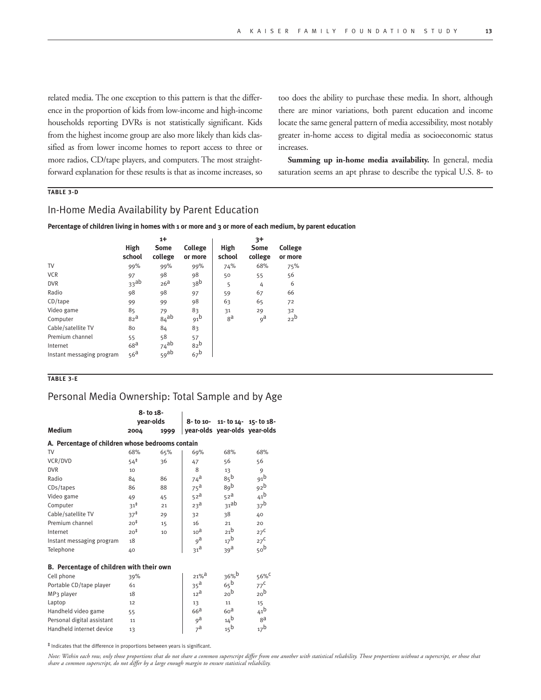related media. The one exception to this pattern is that the difference in the proportion of kids from low-income and high-income households reporting DVRs is not statistically significant. Kids from the highest income group are also more likely than kids classified as from lower income homes to report access to three or more radios, CD/tape players, and computers. The most straightforward explanation for these results is that as income increases, so too does the ability to purchase these media. In short, although there are minor variations, both parent education and income locate the same general pattern of media accessibility, most notably greater in-home access to digital media as socioeconomic status increases.

**Summing up in-home media availability.** In general, media saturation seems an apt phrase to describe the typical U.S. 8- to

## **TABLE 3-D**

## In-Home Media Availability by Parent Education

**Percentage of children living in homes with 1 or more and 3 or more of each medium, by parent education**

|                           | $1+$             |                  |                    | $3+$           |                        |                           |  |
|---------------------------|------------------|------------------|--------------------|----------------|------------------------|---------------------------|--|
|                           | High<br>school   | Some<br>college  | College<br>or more | High<br>school | <b>Some</b><br>college | <b>College</b><br>or more |  |
| TV                        | 99%              | 99%              | 99%                | 74%            | 68%                    | 75%                       |  |
| <b>VCR</b>                | 97               | 98               | 98                 | 50             | 55                     | 56                        |  |
| <b>DVR</b>                | 33 <sup>ab</sup> | 26 <sup>a</sup>  | 38 <sup>b</sup>    | 5              | 4                      | 6                         |  |
| Radio                     | 98               | 98               | 97                 | 59             | 67                     | 66                        |  |
| $CD$ /tape                | 99               | 99               | 98                 | 63             | 65                     | 72                        |  |
| Video game                | 85               | 79               | 83                 | 31             | 29                     | 32                        |  |
| Computer                  | 82 <sup>a</sup>  | $84$ ab          | 91 <sup>b</sup>    | ga             | 9 <sup>d</sup>         | 22 <sup>b</sup>           |  |
| Cable/satellite TV        | 80               | 84               | 83                 |                |                        |                           |  |
| Premium channel           | 55               | 58               | 57                 |                |                        |                           |  |
| Internet                  | 68 <sup>a</sup>  | 74 <sup>ab</sup> | 82 <sup>b</sup>    |                |                        |                           |  |
| Instant messaging program | 56 <sup>a</sup>  | 59 <sup>ab</sup> | 67 <sup>b</sup>    |                |                        |                           |  |

**TABLE 3-E**

## Personal Media Ownership: Total Sample and by Age

|                                                  |                 | 8- to 18-<br>year-olds |                    | 8-to 10-11-to 14-15-to 18-    |                  |
|--------------------------------------------------|-----------------|------------------------|--------------------|-------------------------------|------------------|
| <b>Medium</b>                                    | 2004            | 1999                   |                    | year-olds year-olds year-olds |                  |
| A. Percentage of children whose bedrooms contain |                 |                        |                    |                               |                  |
| TV                                               | 68%             | 65%                    | 69%                | 68%                           | 68%              |
| VCR/DVD                                          | $54^{\ddagger}$ | 36                     | 47                 | 56                            | 56               |
| <b>DVR</b>                                       | 10              |                        | 8                  | 13                            | 9                |
| Radio                                            | 84              | 86                     | 74 <sup>a</sup>    | $85^{\mathrm{b}}$             | 91 <sup>b</sup>  |
| CDs/tapes                                        | 86              | 88                     | $75^{\text{a}}$    | 89 <sub>b</sub>               | 92 <sup>b</sup>  |
| Video game                                       | 49              | 45                     | 52 <sup>a</sup>    | 52 <sup>a</sup>               | 41 <sup>b</sup>  |
| Computer                                         | $31^{\ddagger}$ | 21                     | 23 <sup>d</sup>    | 31ab                          | 37 <sup>b</sup>  |
| Cable/satellite TV                               | $37^{\ddagger}$ | 29                     | 32                 | 38                            | 40               |
| Premium channel                                  | $20^{\ddagger}$ | 15                     | 16                 | 21                            | 20               |
| Internet                                         | $20^{\ddagger}$ | 10                     | 10 <sup>d</sup>    | 21 <sup>b</sup>               | $27^{\circ}$     |
| Instant messaging program                        | 18              |                        | 9 <sup>d</sup>     | 17 <sup>b</sup>               | $27^{\text{C}}$  |
| Telephone                                        | 40              |                        | 31 <sup>d</sup>    | 39 <sup>d</sup>               | 50 <sup>b</sup>  |
| B. Percentage of children with their own         |                 |                        |                    |                               |                  |
| Cell phone                                       | 39%             |                        | $21%$ <sup>a</sup> | 36%b                          | 56% <sup>c</sup> |
| Portable CD/tape player                          | 61              |                        | 35 <sup>a</sup>    | 65 <sup>b</sup>               | $77^{\text{C}}$  |
| MP <sub>3</sub> player                           | 18              |                        | 12 <sup>d</sup>    | 20 <sup>b</sup>               | 20 <sup>b</sup>  |
| Laptop                                           | 12              |                        | 13                 | 11                            | 15               |
| Handheld video game                              | 55              |                        | 66 <sup>d</sup>    | 60 <sup>d</sup>               | 41 <sup>b</sup>  |
| Personal digital assistant                       | 11              |                        | 9 <sup>d</sup>     | 14 <sup>b</sup>               | ga               |
| Handheld internet device                         | 13              |                        | $7^{\mathsf{a}}$   | $15^{\text{b}}$               | 17 <sup>b</sup>  |

‡ Indicates that the difference in proportions between years is significant.

*Note: Within each row, only those proportions that do not share a common superscript differ from one another with statistical reliability. Those proportions without a superscript, or those that share a common superscript, do not differ by a large enough margin to ensure statistical reliability.*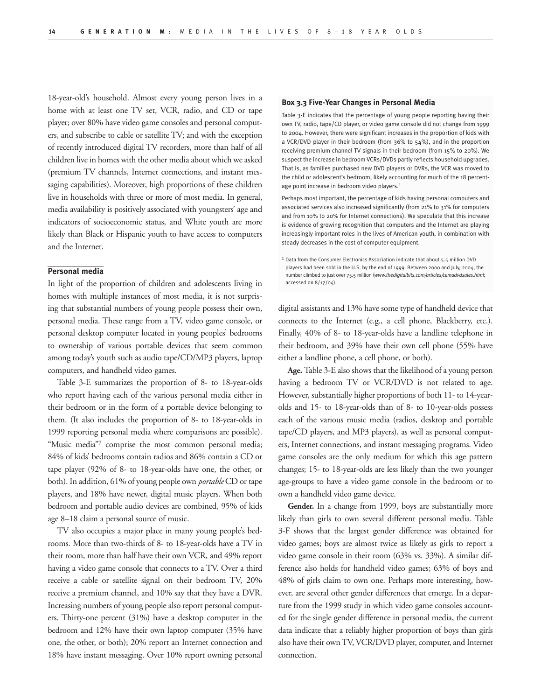18-year-old's household. Almost every young person lives in a home with at least one TV set, VCR, radio, and CD or tape player; over 80% have video game consoles and personal computers, and subscribe to cable or satellite TV; and with the exception of recently introduced digital TV recorders, more than half of all children live in homes with the other media about which we asked (premium TV channels, Internet connections, and instant messaging capabilities). Moreover, high proportions of these children live in households with three or more of most media. In general, media availability is positively associated with youngsters' age and indicators of socioeconomic status, and White youth are more likely than Black or Hispanic youth to have access to computers and the Internet.

#### **Personal media**

In light of the proportion of children and adolescents living in homes with multiple instances of most media, it is not surprising that substantial numbers of young people possess their own, personal media. These range from a TV, video game console, or personal desktop computer located in young peoples' bedrooms to ownership of various portable devices that seem common among today's youth such as audio tape/CD/MP3 players, laptop computers, and handheld video games.

Table 3-E summarizes the proportion of 8- to 18-year-olds who report having each of the various personal media either in their bedroom or in the form of a portable device belonging to them. (It also includes the proportion of 8- to 18-year-olds in 1999 reporting personal media where comparisons are possible). "Music media"7 comprise the most common personal media; 84% of kids' bedrooms contain radios and 86% contain a CD or tape player (92% of 8- to 18-year-olds have one, the other, or both). In addition, 61% of young people own *portable* CD or tape players, and 18% have newer, digital music players. When both bedroom and portable audio devices are combined, 95% of kids age 8–18 claim a personal source of music.

TV also occupies a major place in many young people's bedrooms. More than two-thirds of 8- to 18-year-olds have a TV in their room, more than half have their own VCR, and 49% report having a video game console that connects to a TV. Over a third receive a cable or satellite signal on their bedroom TV, 20% receive a premium channel, and 10% say that they have a DVR. Increasing numbers of young people also report personal computers. Thirty-one percent (31%) have a desktop computer in the bedroom and 12% have their own laptop computer (35% have one, the other, or both); 20% report an Internet connection and 18% have instant messaging. Over 10% report owning personal

#### **Box 3.3 Five-Year Changes in Personal Media**

Table 3-E indicates that the percentage of young people reporting having their own TV, radio, tape/CD player, or video game console did not change from 1999 to 2004. However, there were significant increases in the proportion of kids with a VCR/DVD player in their bedroom (from 36% to 54%), and in the proportion receiving premium channel TV signals in their bedroom (from 15% to 20%). We suspect the increase in bedroom VCRs/DVDs partly reflects household upgrades. That is, as families purchased new DVD players or DVRs, the VCR was moved to the child or adolescent's bedroom, likely accounting for much of the 18 percentage point increase in bedroom video players.1

Perhaps most important, the percentage of kids having personal computers and associated services also increased significantly (from 21% to 31% for computers and from 10% to 20% for Internet connections). We speculate that this increase is evidence of growing recognition that computers and the Internet are playing increasingly important roles in the lives of American youth, in combination with steady decreases in the cost of computer equipment.

1 Data from the Consumer Electronics Association indicate that about 5.5 million DVD players had been sold in the U.S. by the end of 1999. Between 2000 and July, 2004, the number climbed to just over 75.5 million (*www.thedigitalbits.com/articles/cemadvdsales.html*; accessed on 8/17/04).

digital assistants and 13% have some type of handheld device that connects to the Internet (e.g., a cell phone, Blackberry, etc.). Finally, 40% of 8- to 18-year-olds have a landline telephone in their bedroom, and 39% have their own cell phone (55% have either a landline phone, a cell phone, or both).

**Age.** Table 3-E also shows that the likelihood of a young person having a bedroom TV or VCR/DVD is not related to age. However, substantially higher proportions of both 11- to 14-yearolds and 15- to 18-year-olds than of 8- to 10-year-olds possess each of the various music media (radios, desktop and portable tape/CD players, and MP3 players), as well as personal computers, Internet connections, and instant messaging programs. Video game consoles are the only medium for which this age pattern changes; 15- to 18-year-olds are less likely than the two younger age-groups to have a video game console in the bedroom or to own a handheld video game device.

**Gender.** In a change from 1999, boys are substantially more likely than girls to own several different personal media. Table 3-F shows that the largest gender difference was obtained for video games; boys are almost twice as likely as girls to report a video game console in their room (63% vs. 33%). A similar difference also holds for handheld video games; 63% of boys and 48% of girls claim to own one. Perhaps more interesting, however, are several other gender differences that emerge. In a departure from the 1999 study in which video game consoles accounted for the single gender difference in personal media, the current data indicate that a reliably higher proportion of boys than girls also have their own TV, VCR/DVD player, computer, and Internet connection.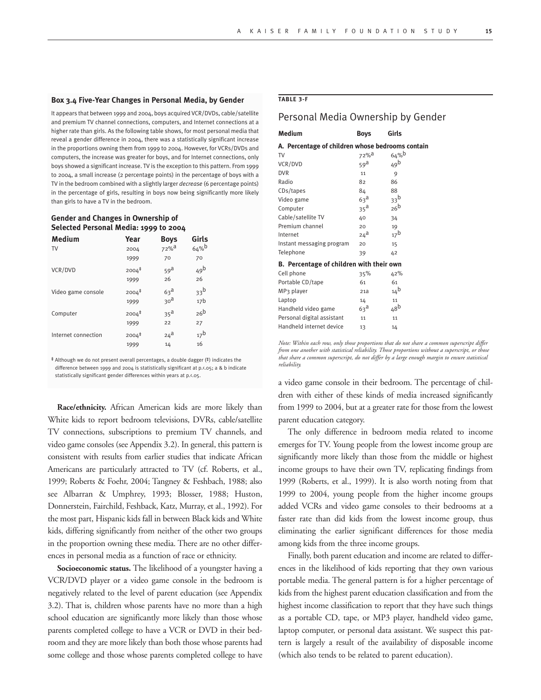#### **Box 3.4 Five-Year Changes in Personal Media, by Gender**

It appears that between 1999 and 2004, boys acquired VCR/DVDs, cable/satellite and premium TV channel connections, computers, and Internet connections at a higher rate than girls. As the following table shows, for most personal media that reveal a gender difference in 2004, there was a statistically significant increase in the proportions owning them from 1999 to 2004. However, for VCRs/DVDs and computers, the increase was greater for boys, and for Internet connections, only boys showed a significant increase. TV is the exception to this pattern. From 1999 to 2004, a small increase (2 percentage points) in the percentage of boys with a TV in the bedroom combined with a slightly larger *decrease* (6 percentage points) in the percentage of girls, resulting in boys now being significantly more likely than girls to have a TV in the bedroom.

### **Gender and Changes in Ownership of Selected Personal Media: 1999 to 2004**

| <b>Medium</b>       | Year              | <b>Boys</b>        | Girls           |
|---------------------|-------------------|--------------------|-----------------|
| TV                  | 2004              | $72%$ <sup>a</sup> | 64%             |
|                     | 1999              | 70                 | 70              |
| VCR/DVD             | $2004^{\ddagger}$ | 59a                | 49 <sup>b</sup> |
|                     | 1999              | 26                 | 26              |
| Video game console  | $2004^{\ddagger}$ | 63 <sup>d</sup>    | 33 <sup>b</sup> |
|                     | 1999              | 30 <sup>d</sup>    | 17 <sub>b</sub> |
| Computer            | $2004^{\ddagger}$ | 35 <sup>a</sup>    | 26 <sup>b</sup> |
|                     | 1999              | 22                 | 27              |
| Internet connection | $2004^{\ddagger}$ | $24^a$             | 17 <sup>b</sup> |
|                     | 1999              | 14                 | 16              |

‡ Although we do not present overall percentages, a double dagger (‡) indicates the difference between 1999 and 2004 is statistically significant at p.<.05; a & b indicate statistically significant gender differences within years at p.<.05.

**Race/ethnicity.** African American kids are more likely than White kids to report bedroom televisions, DVRs, cable/satellite TV connections, subscriptions to premium TV channels, and video game consoles (see Appendix 3.2). In general, this pattern is consistent with results from earlier studies that indicate African Americans are particularly attracted to TV (cf. Roberts, et al., 1999; Roberts & Foehr, 2004; Tangney & Feshbach, 1988; also see Albarran & Umphrey, 1993; Blosser, 1988; Huston, Donnerstein, Fairchild, Feshback, Katz, Murray, et al., 1992). For the most part, Hispanic kids fall in between Black kids and White kids, differing significantly from neither of the other two groups in the proportion owning these media. There are no other differences in personal media as a function of race or ethnicity.

**Socioeconomic status.** The likelihood of a youngster having a VCR/DVD player or a video game console in the bedroom is negatively related to the level of parent education (see Appendix 3.2). That is, children whose parents have no more than a high school education are significantly more likely than those whose parents completed college to have a VCR or DVD in their bedroom and they are more likely than both those whose parents had some college and those whose parents completed college to have

### **TABLE 3-F**

## Personal Media Ownership by Gender

| Medium                                           | <b>Boys</b>      | Girls           |  |
|--------------------------------------------------|------------------|-----------------|--|
| A. Percentage of children whose bedrooms contain |                  |                 |  |
| TV                                               | 72% <sup>a</sup> | 64%             |  |
| VCR/DVD                                          | 59 <sup>d</sup>  | 49 <sup>b</sup> |  |
| <b>DVR</b>                                       | 11               | 9               |  |
| Radio                                            | 82               | 86              |  |
| CDs/tapes                                        | 84               | 88              |  |
| Video game                                       | $63^{\text{a}}$  | 33 <sup>b</sup> |  |
| Computer                                         | 35 <sup>a</sup>  | 26 <sup>b</sup> |  |
| Cable/satellite TV                               | 40               | 34              |  |
| Premium channel                                  | 20               | 19              |  |
| Internet                                         | $24^{\text{a}}$  | 17 <sup>b</sup> |  |
| Instant messaging program                        | 20               | 15              |  |
| Telephone                                        | 39               | 42              |  |
| B. Percentage of children with their own         |                  |                 |  |
| Cell phone                                       | 35%              | 42%             |  |
| Portable CD/tape                                 | 61               | 61              |  |
| MP <sub>3</sub> player                           | 21a              | $14^{b}$        |  |
| Laptop                                           | 14               | 11              |  |
| Handheld video game                              | 63 <sup>d</sup>  | 48 <sup>b</sup> |  |
| Personal digital assistant                       | 11               | 11              |  |
| Handheld internet device                         | 13               | 14              |  |

*Note: Within each row, only those proportions that do not share a common superscript differ from one another with statistical reliability. Those proportions without a superscript, or those that share a common superscript, do not differ by a large enough margin to ensure statistical reliability.* 

a video game console in their bedroom. The percentage of children with either of these kinds of media increased significantly from 1999 to 2004, but at a greater rate for those from the lowest parent education category.

The only difference in bedroom media related to income emerges for TV. Young people from the lowest income group are significantly more likely than those from the middle or highest income groups to have their own TV, replicating findings from 1999 (Roberts, et al., 1999). It is also worth noting from that 1999 to 2004, young people from the higher income groups added VCRs and video game consoles to their bedrooms at a faster rate than did kids from the lowest income group, thus eliminating the earlier significant differences for those media among kids from the three income groups.

Finally, both parent education and income are related to differences in the likelihood of kids reporting that they own various portable media. The general pattern is for a higher percentage of kids from the highest parent education classification and from the highest income classification to report that they have such things as a portable CD, tape, or MP3 player, handheld video game, laptop computer, or personal data assistant. We suspect this pattern is largely a result of the availability of disposable income (which also tends to be related to parent education).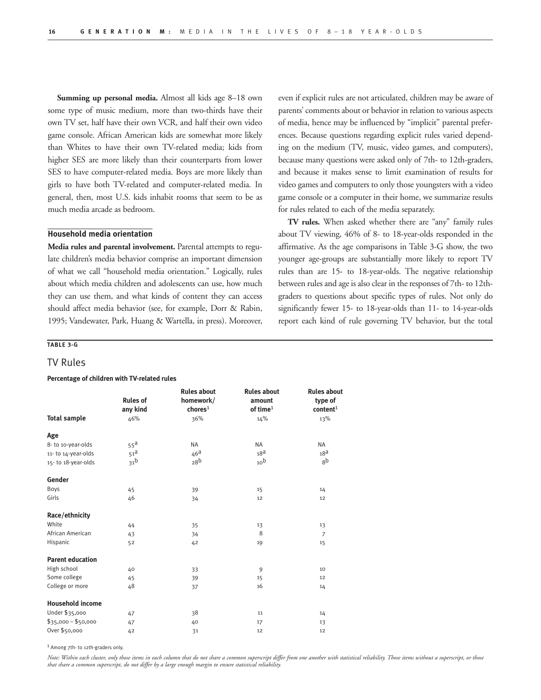**Summing up personal media.** Almost all kids age 8–18 own some type of music medium, more than two-thirds have their own TV set, half have their own VCR, and half their own video game console. African American kids are somewhat more likely than Whites to have their own TV-related media; kids from higher SES are more likely than their counterparts from lower SES to have computer-related media. Boys are more likely than girls to have both TV-related and computer-related media. In general, then, most U.S. kids inhabit rooms that seem to be as much media arcade as bedroom.

## **Household media orientation**

**Media rules and parental involvement.** Parental attempts to regulate children's media behavior comprise an important dimension of what we call "household media orientation." Logically, rules about which media children and adolescents can use, how much they can use them, and what kinds of content they can access should affect media behavior (see, for example, Dorr & Rabin, 1995; Vandewater, Park, Huang & Wartella, in press). Moreover, even if explicit rules are not articulated, children may be aware of parents' comments about or behavior in relation to various aspects of media, hence may be influenced by "implicit" parental preferences. Because questions regarding explicit rules varied depending on the medium (TV, music, video games, and computers), because many questions were asked only of 7th- to 12th-graders, and because it makes sense to limit examination of results for video games and computers to only those youngsters with a video game console or a computer in their home, we summarize results for rules related to each of the media separately.

**TV rules.** When asked whether there are "any" family rules about TV viewing, 46% of 8- to 18-year-olds responded in the affirmative. As the age comparisons in Table 3-G show, the two younger age-groups are substantially more likely to report TV rules than are 15- to 18-year-olds. The negative relationship between rules and age is also clear in the responses of 7th- to 12thgraders to questions about specific types of rules. Not only do significantly fewer 15- to 18-year-olds than 11- to 14-year-olds report each kind of rule governing TV behavior, but the total

## **TABLE 3-G**

## TV Rules

#### **Percentage of children with TV-related rules**

|                         | <b>Rules of</b><br>any kind | <b>Rules about</b><br>homework/<br>chores <sup>1</sup> | <b>Rules about</b><br>amount<br>of time $1$ | <b>Rules about</b><br>type of<br>content <sup>1</sup> |
|-------------------------|-----------------------------|--------------------------------------------------------|---------------------------------------------|-------------------------------------------------------|
| <b>Total sample</b>     | 46%                         | 36%                                                    | 14%                                         | 13%                                                   |
| Age                     |                             |                                                        |                                             |                                                       |
| 8- to 10-year-olds      | $55^{\text{a}}$             | <b>NA</b>                                              | <b>NA</b>                                   | <b>NA</b>                                             |
| 11-to 14-year-olds      | 51 <sup>d</sup>             | 46 <sup>d</sup>                                        | 18 <sup>a</sup>                             | 18 <sup>d</sup>                                       |
| 15-to 18-year-olds      | 31 <sup>b</sup>             | 28 <sup>b</sup>                                        | 10 <sup>b</sup>                             | 8 <sup>b</sup>                                        |
| Gender                  |                             |                                                        |                                             |                                                       |
| Boys                    | 45                          | 39                                                     | 15                                          | 14                                                    |
| Girls                   | 46                          | 34                                                     | 12                                          | 12                                                    |
| Race/ethnicity          |                             |                                                        |                                             |                                                       |
| White                   | 44                          | 35                                                     | 13                                          | 13                                                    |
| African American        | 43                          | 34                                                     | 8                                           | $\overline{7}$                                        |
| Hispanic                | 52                          | 42                                                     | 19                                          | 15                                                    |
| <b>Parent education</b> |                             |                                                        |                                             |                                                       |
| High school             | 40                          | 33                                                     | 9                                           | 10                                                    |
| Some college            | 45                          | 39                                                     | 15                                          | 12                                                    |
| College or more         | 48                          | 37                                                     | 16                                          | 14                                                    |
| <b>Household income</b> |                             |                                                        |                                             |                                                       |
| Under \$35,000          | 47                          | 38                                                     | 11                                          | 14                                                    |
| $$35,000 - $50,000$     | 47                          | 40                                                     | 17                                          | 13                                                    |
| Over \$50,000           | 42                          | 31                                                     | 12                                          | 12                                                    |

1 Among 7th- to 12th-graders only.

*Note: Within each cluster, only those items in each column that do not share a common superscript differ from one another with statistical reliability. Those items without a superscript, or those that share a common superscript, do not differ by a large enough margin to ensure statistical reliability.*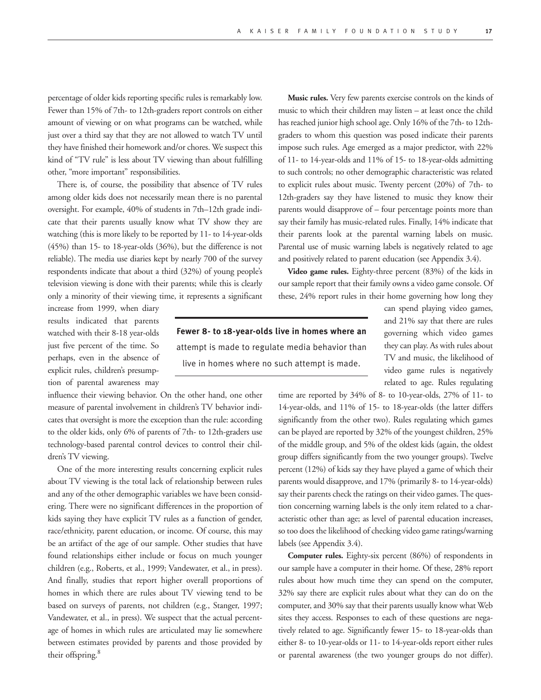percentage of older kids reporting specific rules is remarkably low. Fewer than 15% of 7th- to 12th-graders report controls on either amount of viewing or on what programs can be watched, while just over a third say that they are not allowed to watch TV until they have finished their homework and/or chores. We suspect this kind of "TV rule" is less about TV viewing than about fulfilling other, "more important" responsibilities.

There is, of course, the possibility that absence of TV rules among older kids does not necessarily mean there is no parental oversight. For example, 40% of students in 7th–12th grade indicate that their parents usually know what TV show they are watching (this is more likely to be reported by 11- to 14-year-olds (45%) than 15- to 18-year-olds (36%), but the difference is not reliable). The media use diaries kept by nearly 700 of the survey respondents indicate that about a third (32%) of young people's television viewing is done with their parents; while this is clearly only a minority of their viewing time, it represents a significant

increase from 1999, when diary results indicated that parents watched with their 8-18 year-olds just five percent of the time. So perhaps, even in the absence of explicit rules, children's presumption of parental awareness may

influence their viewing behavior. On the other hand, one other measure of parental involvement in children's TV behavior indicates that oversight is more the exception than the rule: according to the older kids, only 6% of parents of 7th- to 12th-graders use technology-based parental control devices to control their children's TV viewing.

One of the more interesting results concerning explicit rules about TV viewing is the total lack of relationship between rules and any of the other demographic variables we have been considering. There were no significant differences in the proportion of kids saying they have explicit TV rules as a function of gender, race/ethnicity, parent education, or income. Of course, this may be an artifact of the age of our sample. Other studies that have found relationships either include or focus on much younger children (e.g., Roberts, et al., 1999; Vandewater, et al., in press). And finally, studies that report higher overall proportions of homes in which there are rules about TV viewing tend to be based on surveys of parents, not children (e.g., Stanger, 1997; Vandewater, et al., in press). We suspect that the actual percentage of homes in which rules are articulated may lie somewhere between estimates provided by parents and those provided by their offspring.<sup>8</sup>

**Music rules.** Very few parents exercise controls on the kinds of music to which their children may listen – at least once the child has reached junior high school age. Only 16% of the 7th- to 12thgraders to whom this question was posed indicate their parents impose such rules. Age emerged as a major predictor, with 22% of 11- to 14-year-olds and 11% of 15- to 18-year-olds admitting to such controls; no other demographic characteristic was related to explicit rules about music. Twenty percent (20%) of 7th- to 12th-graders say they have listened to music they know their parents would disapprove of – four percentage points more than say their family has music-related rules. Finally, 14% indicate that their parents look at the parental warning labels on music. Parental use of music warning labels is negatively related to age and positively related to parent education (see Appendix 3.4).

**Video game rules.** Eighty-three percent (83%) of the kids in our sample report that their family owns a video game console. Of these, 24% report rules in their home governing how long they

**Fewer 8- to 18-year-olds live in homes where an** attempt is made to regulate media behavior than live in homes where no such attempt is made.

can spend playing video games, and 21% say that there are rules governing which video games they can play. As with rules about TV and music, the likelihood of video game rules is negatively related to age. Rules regulating

time are reported by 34% of 8- to 10-year-olds, 27% of 11- to 14-year-olds, and 11% of 15- to 18-year-olds (the latter differs significantly from the other two). Rules regulating which games can be played are reported by 32% of the youngest children, 25% of the middle group, and 5% of the oldest kids (again, the oldest group differs significantly from the two younger groups). Twelve percent (12%) of kids say they have played a game of which their parents would disapprove, and 17% (primarily 8- to 14-year-olds) say their parents check the ratings on their video games. The question concerning warning labels is the only item related to a characteristic other than age; as level of parental education increases, so too does the likelihood of checking video game ratings/warning labels (see Appendix 3.4).

**Computer rules.** Eighty-six percent (86%) of respondents in our sample have a computer in their home. Of these, 28% report rules about how much time they can spend on the computer, 32% say there are explicit rules about what they can do on the computer, and 30% say that their parents usually know what Web sites they access. Responses to each of these questions are negatively related to age. Significantly fewer 15- to 18-year-olds than either 8- to 10-year-olds or 11- to 14-year-olds report either rules or parental awareness (the two younger groups do not differ).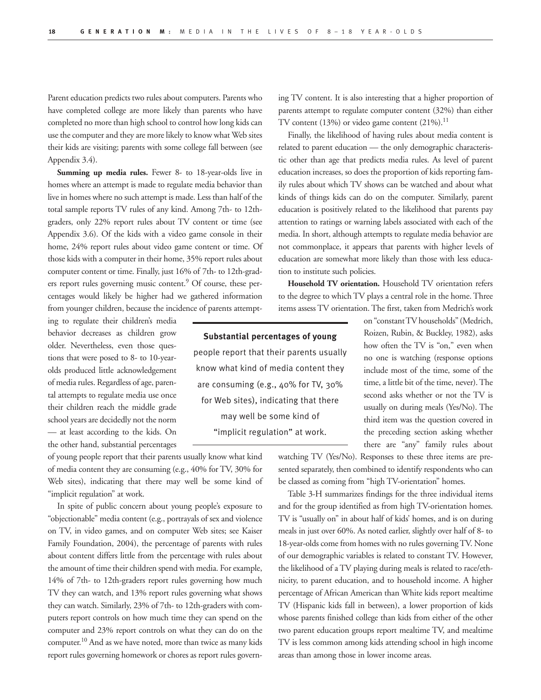Parent education predicts two rules about computers. Parents who have completed college are more likely than parents who have completed no more than high school to control how long kids can use the computer and they are more likely to know what Web sites their kids are visiting; parents with some college fall between (see Appendix 3.4).

**Summing up media rules.** Fewer 8- to 18-year-olds live in homes where an attempt is made to regulate media behavior than live in homes where no such attempt is made. Less than half of the total sample reports TV rules of any kind. Among 7th- to 12thgraders, only 22% report rules about TV content or time (see Appendix 3.6). Of the kids with a video game console in their home, 24% report rules about video game content or time. Of those kids with a computer in their home, 35% report rules about computer content or time. Finally, just 16% of 7th- to 12th-graders report rules governing music content.<sup>9</sup> Of course, these percentages would likely be higher had we gathered information from younger children, because the incidence of parents attempt-

ing to regulate their children's media behavior decreases as children grow older. Nevertheless, even those questions that were posed to 8- to 10-yearolds produced little acknowledgement of media rules. Regardless of age, parental attempts to regulate media use once their children reach the middle grade school years are decidedly not the norm — at least according to the kids. On the other hand, substantial percentages

of young people report that their parents usually know what kind of media content they are consuming (e.g., 40% for TV, 30% for Web sites), indicating that there may well be some kind of "implicit regulation" at work.

In spite of public concern about young people's exposure to "objectionable" media content (e.g., portrayals of sex and violence on TV, in video games, and on computer Web sites; see Kaiser Family Foundation, 2004), the percentage of parents with rules about content differs little from the percentage with rules about the amount of time their children spend with media. For example, 14% of 7th- to 12th-graders report rules governing how much TV they can watch, and 13% report rules governing what shows they can watch. Similarly, 23% of 7th- to 12th-graders with computers report controls on how much time they can spend on the computer and 23% report controls on what they can do on the computer.10 And as we have noted, more than twice as many kids report rules governing homework or chores as report rules governing TV content. It is also interesting that a higher proportion of parents attempt to regulate computer content (32%) than either TV content  $(13%)$  or video game content  $(21%).<sup>11</sup>$ 

Finally, the likelihood of having rules about media content is related to parent education — the only demographic characteristic other than age that predicts media rules. As level of parent education increases, so does the proportion of kids reporting family rules about which TV shows can be watched and about what kinds of things kids can do on the computer. Similarly, parent education is positively related to the likelihood that parents pay attention to ratings or warning labels associated with each of the media. In short, although attempts to regulate media behavior are not commonplace, it appears that parents with higher levels of education are somewhat more likely than those with less education to institute such policies.

**Household TV orientation.** Household TV orientation refers to the degree to which TV plays a central role in the home. Three items assess TV orientation. The first, taken from Medrich's work

**Substantial percentages of young**  people report that their parents usually know what kind of media content they are consuming (e.g., 40% for TV, 30% for Web sites), indicating that there may well be some kind of "implicit regulation" at work.

on "constant TV households" (Medrich, Roizen, Rubin, & Buckley, 1982), asks how often the TV is "on," even when no one is watching (response options include most of the time, some of the time, a little bit of the time, never). The second asks whether or not the TV is usually on during meals (Yes/No). The third item was the question covered in the preceding section asking whether there are "any" family rules about

watching TV (Yes/No). Responses to these three items are presented separately, then combined to identify respondents who can be classed as coming from "high TV-orientation" homes.

Table 3-H summarizes findings for the three individual items and for the group identified as from high TV-orientation homes. TV is "usually on" in about half of kids' homes, and is on during meals in just over 60%. As noted earlier, slightly over half of 8- to 18-year-olds come from homes with no rules governing TV. None of our demographic variables is related to constant TV. However, the likelihood of a TV playing during meals is related to race/ethnicity, to parent education, and to household income. A higher percentage of African American than White kids report mealtime TV (Hispanic kids fall in between), a lower proportion of kids whose parents finished college than kids from either of the other two parent education groups report mealtime TV, and mealtime TV is less common among kids attending school in high income areas than among those in lower income areas.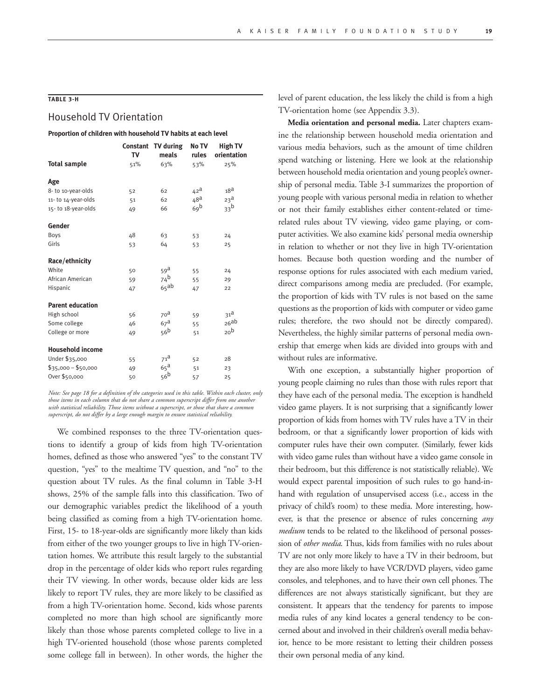## **TABLE 3-H**

## Household TV Orientation

#### **Proportion of children with household TV habits at each level**

|                         | TV  | Constant TV during<br>meals | No TV<br>rules  | <b>High TV</b><br>orientation |
|-------------------------|-----|-----------------------------|-----------------|-------------------------------|
| <b>Total sample</b>     | 51% | 63%                         | 53%             | 25%                           |
| Age                     |     |                             |                 |                               |
| 8- to 10-year-olds      | 52  | 62                          | 42 <sup>d</sup> | 18 <sup>d</sup>               |
| 11-to 14-year-olds      | 51  | 62                          | 48 <sup>d</sup> | 23 <sup>d</sup>               |
| 15-to 18-year-olds      | 49  | 66                          | 69 <sup>b</sup> | 33 <sup>b</sup>               |
| Gender                  |     |                             |                 |                               |
| Boys                    | 48  | 63                          | 53              | 24                            |
| Girls                   | 53  | 64                          | 53              | 25                            |
| Race/ethnicity          |     |                             |                 |                               |
| White                   | 50  | $59^{\text{a}}$             | 55              | 24                            |
| African American        | 59  | $74^{b}$                    | 55              | 29                            |
| Hispanic                | 47  | $65$ ab                     | 47              | 22                            |
| <b>Parent education</b> |     |                             |                 |                               |
| High school             | 56  | 70 <sup>d</sup>             | 59              | 31 <sup>d</sup>               |
| Some college            | 46  | 67 <sup>d</sup>             | 55              | 26ab                          |
| College or more         | 49  | 56 <sup>b</sup>             | 51              | 20 <sup>b</sup>               |
| <b>Household income</b> |     |                             |                 |                               |
| Under \$35,000          | 55  | 71 <sup>d</sup>             | 52              | 28                            |
| $$35,000 - $50,000$     | 49  | 65 <sup>d</sup>             | 51              | 23                            |
| Over \$50,000           | 50  | 56 <sup>b</sup>             | 57              | 25                            |

*Note: See page 18 for a definition of the categories used in this table. Within each cluster, only those items in each column that do not share a common superscript differ from one another with statistical reliability. Those items without a superscript, or those that share a common superscript, do not differ by a large enough margin to ensure statistical reliability.* 

We combined responses to the three TV-orientation questions to identify a group of kids from high TV-orientation homes, defined as those who answered "yes" to the constant TV question, "yes" to the mealtime TV question, and "no" to the question about TV rules. As the final column in Table 3-H shows, 25% of the sample falls into this classification. Two of our demographic variables predict the likelihood of a youth being classified as coming from a high TV-orientation home. First, 15- to 18-year-olds are significantly more likely than kids from either of the two younger groups to live in high TV-orientation homes. We attribute this result largely to the substantial drop in the percentage of older kids who report rules regarding their TV viewing. In other words, because older kids are less likely to report TV rules, they are more likely to be classified as from a high TV-orientation home. Second, kids whose parents completed no more than high school are significantly more likely than those whose parents completed college to live in a high TV-oriented household (those whose parents completed some college fall in between). In other words, the higher the

level of parent education, the less likely the child is from a high TV-orientation home (see Appendix 3.3).

**Media orientation and personal media.** Later chapters examine the relationship between household media orientation and various media behaviors, such as the amount of time children spend watching or listening. Here we look at the relationship between household media orientation and young people's ownership of personal media. Table 3-I summarizes the proportion of young people with various personal media in relation to whether or not their family establishes either content-related or timerelated rules about TV viewing, video game playing, or computer activities. We also examine kids' personal media ownership in relation to whether or not they live in high TV-orientation homes. Because both question wording and the number of response options for rules associated with each medium varied, direct comparisons among media are precluded. (For example, the proportion of kids with TV rules is not based on the same questions as the proportion of kids with computer or video game rules; therefore, the two should not be directly compared). Nevertheless, the highly similar patterns of personal media ownership that emerge when kids are divided into groups with and without rules are informative.

With one exception, a substantially higher proportion of young people claiming no rules than those with rules report that they have each of the personal media. The exception is handheld video game players. It is not surprising that a significantly lower proportion of kids from homes with TV rules have a TV in their bedroom, or that a significantly lower proportion of kids with computer rules have their own computer. (Similarly, fewer kids with video game rules than without have a video game console in their bedroom, but this difference is not statistically reliable). We would expect parental imposition of such rules to go hand-inhand with regulation of unsupervised access (i.e., access in the privacy of child's room) to these media. More interesting, however, is that the presence or absence of rules concerning *any medium* tends to be related to the likelihood of personal possession of *other media*. Thus, kids from families with no rules about TV are not only more likely to have a TV in their bedroom, but they are also more likely to have VCR/DVD players, video game consoles, and telephones, and to have their own cell phones. The differences are not always statistically significant, but they are consistent. It appears that the tendency for parents to impose media rules of any kind locates a general tendency to be concerned about and involved in their children's overall media behavior, hence to be more resistant to letting their children possess their own personal media of any kind.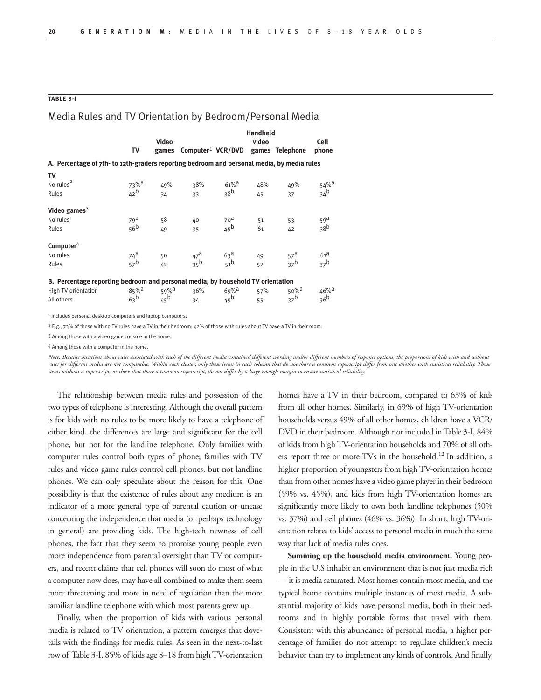### **TABLE 3-I**

## Media Rules and TV Orientation by Bedroom/Personal Media

|                                                                                            | <b>Handheld</b><br>Video<br>video |                   |                                                     |                                    |     |                     | Cell                                   |
|--------------------------------------------------------------------------------------------|-----------------------------------|-------------------|-----------------------------------------------------|------------------------------------|-----|---------------------|----------------------------------------|
|                                                                                            | TV                                |                   | games Computer <sup>1</sup> VCR/DVD games Telephone |                                    |     |                     | phone                                  |
| A. Percentage of 7th- to 12th-graders reporting bedroom and personal media, by media rules |                                   |                   |                                                     |                                    |     |                     |                                        |
| TV                                                                                         |                                   |                   |                                                     |                                    |     |                     |                                        |
| No rules <sup>2</sup>                                                                      | $73%$ <sup>d</sup>                | 49%               | 38%                                                 | $61\%$ <sup>a</sup>                | 48% | 49%                 | $54\%$ <sup>a</sup><br>34 <sup>b</sup> |
| Rules                                                                                      | 42 <sup>b</sup>                   | 34                | 33                                                  | 38 <sup>b</sup>                    | 45  | 37                  |                                        |
| Video games $3$                                                                            |                                   |                   |                                                     |                                    |     |                     |                                        |
| No rules                                                                                   | $79^{\text{a}}$                   | 58                | 40                                                  |                                    | 51  | 53                  | $\frac{59}{38}^{a}$                    |
| Rules                                                                                      | 56 <sup>b</sup>                   | 49                | 35                                                  | 70 <sup>a</sup><br>45 <sup>b</sup> | 61  | 42                  |                                        |
| Computer $4$                                                                               |                                   |                   |                                                     |                                    |     |                     |                                        |
| No rules                                                                                   | $\frac{74^a}{57^b}$               | 50                | $47^a$<br>35 <sup>b</sup>                           | $63a$<br>$51b$                     | 49  | $\frac{57}{37}$ b   | $\frac{61^a}{37^b}$                    |
| Rules                                                                                      |                                   | 42                |                                                     |                                    | 52  |                     |                                        |
| B. Percentage reporting bedroom and personal media, by household TV orientation            |                                   |                   |                                                     |                                    |     |                     |                                        |
| High TV orientation                                                                        | $85%$ <sup>d</sup>                | 59% <sup>a</sup>  | 36%                                                 | $69\%$ <sup>d</sup>                | 57% | $50\%$ <sup>d</sup> | $46\%$ <sup>a</sup>                    |
| All others                                                                                 | 63 <sup>b</sup>                   | $45^{\mathrm{b}}$ | 34                                                  | 49 <sup>b</sup>                    | 55  | 37 <sup>b</sup>     | 36 <sup>b</sup>                        |

1 Includes personal desktop computers and laptop computers.

<sup>2</sup> E.g., 73% of those with no TV rules have a TV in their bedroom; 42% of those with rules about TV have a TV in their room

3 Among those with a video game console in the home.

4 Among those with a computer in the home.

*Note: Because questions about rules associated with each of the different media contained different wording and/or different numbers of response options, the proportions of kids with and without*  rules for different media are not comparable. Within each cluster, only those items in each column that do not share a common superscript differ from one another with statistical reliability. Those<br>items without a superscr

The relationship between media rules and possession of the two types of telephone is interesting. Although the overall pattern is for kids with no rules to be more likely to have a telephone of either kind, the differences are large and significant for the cell phone, but not for the landline telephone. Only families with computer rules control both types of phone; families with TV rules and video game rules control cell phones, but not landline phones. We can only speculate about the reason for this. One possibility is that the existence of rules about any medium is an indicator of a more general type of parental caution or unease concerning the independence that media (or perhaps technology in general) are providing kids. The high-tech newness of cell phones, the fact that they seem to promise young people even more independence from parental oversight than TV or computers, and recent claims that cell phones will soon do most of what a computer now does, may have all combined to make them seem more threatening and more in need of regulation than the more familiar landline telephone with which most parents grew up.

Finally, when the proportion of kids with various personal media is related to TV orientation, a pattern emerges that dovetails with the findings for media rules. As seen in the next-to-last row of Table 3-I, 85% of kids age 8–18 from high TV-orientation homes have a TV in their bedroom, compared to 63% of kids from all other homes. Similarly, in 69% of high TV-orientation households versus 49% of all other homes, children have a VCR/ DVD in their bedroom. Although not included in Table 3-I, 84% of kids from high TV-orientation households and 70% of all others report three or more TVs in the household.<sup>12</sup> In addition, a higher proportion of youngsters from high TV-orientation homes than from other homes have a video game player in their bedroom (59% vs. 45%), and kids from high TV-orientation homes are significantly more likely to own both landline telephones (50% vs. 37%) and cell phones (46% vs. 36%). In short, high TV-orientation relates to kids' access to personal media in much the same way that lack of media rules does.

**Summing up the household media environment.** Young people in the U.S inhabit an environment that is not just media rich — it is media saturated. Most homes contain most media, and the typical home contains multiple instances of most media. A substantial majority of kids have personal media, both in their bedrooms and in highly portable forms that travel with them. Consistent with this abundance of personal media, a higher percentage of families do not attempt to regulate children's media behavior than try to implement any kinds of controls. And finally,